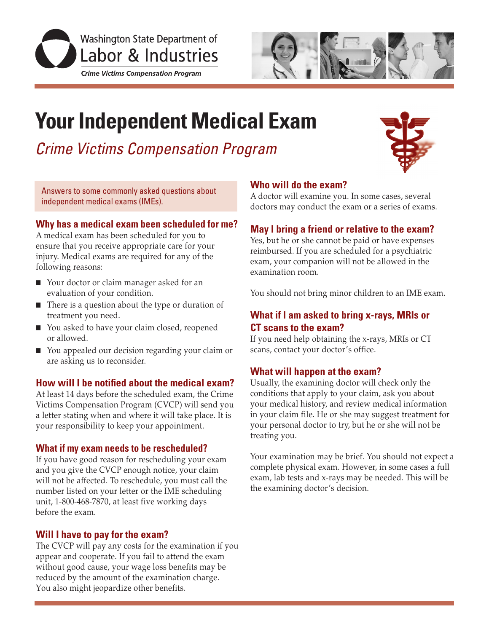



# **Your Independent Medical Exam**

*Crime Victims Compensation Program*

Answers to some commonly asked questions about independent medical exams (IMEs).

## **Why has a medical exam been scheduled for me?**

A medical exam has been scheduled for you to ensure that you receive appropriate care for your injury. Medical exams are required for any of the following reasons:

- Your doctor or claim manager asked for an evaluation of your condition.
- $\blacksquare$  There is a question about the type or duration of treatment you need.
- You asked to have your claim closed, reopened or allowed.
- You appealed our decision regarding your claim or are asking us to reconsider.

## **How will I be notified about the medical exam?**

At least 14 days before the scheduled exam, the Crime Victims Compensation Program (CVCP) will send you a letter stating when and where it will take place. It is your responsibility to keep your appointment.

## **What if my exam needs to be rescheduled?**

If you have good reason for rescheduling your exam and you give the CVCP enough notice, your claim will not be affected. To reschedule, you must call the number listed on your letter or the IME scheduling unit, 1-800-468-7870, at least five working days before the exam.

## **Will I have to pay for the exam?**

The CVCP will pay any costs for the examination if you appear and cooperate. If you fail to attend the exam without good cause, your wage loss benefits may be reduced by the amount of the examination charge. You also might jeopardize other benefits.

## **Who will do the exam?**

A doctor will examine you. In some cases, several doctors may conduct the exam or a series of exams.

## **May I bring a friend or relative to the exam?**

Yes, but he or she cannot be paid or have expenses reimbursed. If you are scheduled for a psychiatric exam, your companion will not be allowed in the examination room.

You should not bring minor children to an IME exam.

## **What if I am asked to bring x-rays, MRIs or CT scans to the exam?**

If you need help obtaining the x-rays, MRIs or CT scans, contact your doctor's office.

## **What will happen at the exam?**

Usually, the examining doctor will check only the conditions that apply to your claim, ask you about your medical history, and review medical information in your claim file. He or she may suggest treatment for your personal doctor to try, but he or she will not be treating you.

Your examination may be brief. You should not expect a complete physical exam. However, in some cases a full exam, lab tests and x-rays may be needed. This will be the examining doctor's decision.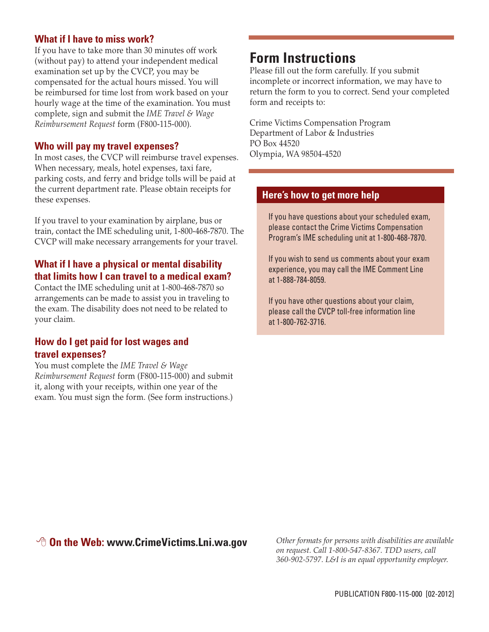## **What if I have to miss work?**

If you have to take more than 30 minutes off work (without pay) to attend your independent medical examination set up by the CVCP, you may be compensated for the actual hours missed. You will be reimbursed for time lost from work based on your hourly wage at the time of the examination. You must complete, sign and submit the *IME Travel & Wage Reimbursement Request* form (F800-115-000)*.*

## **Who will pay my travel expenses?**

In most cases, the CVCP will reimburse travel expenses. When necessary, meals, hotel expenses, taxi fare, parking costs, and ferry and bridge tolls will be paid at the current department rate. Please obtain receipts for these expenses.

If you travel to your examination by airplane, bus or train, contact the IME scheduling unit, 1-800-468-7870. The CVCP will make necessary arrangements for your travel.

## **What if I have a physical or mental disability that limits how I can travel to a medical exam?**

Contact the IME scheduling unit at 1-800-468-7870 so arrangements can be made to assist you in traveling to the exam. The disability does not need to be related to your claim.

## **How do I get paid for lost wages and travel expenses?**

You must complete the *IME Travel & Wage Reimbursement Request* form (F800-115-000) and submit it, along with your receipts, within one year of the exam. You must sign the form. (See form instructions.)

## **Form Instructions**

Please fill out the form carefully. If you submit incomplete or incorrect information, we may have to return the form to you to correct. Send your completed form and receipts to:

Crime Victims Compensation Program Department of Labor & Industries PO Box 44520 Olympia, WA 98504-4520

## **Here's how to get more help**

If you have questions about your scheduled exam, please contact the Crime Victims Compensation Program's IME scheduling unit at 1-800-468-7870.

If you wish to send us comments about your exam experience, you may call the IME Comment Line at 1-888-784-8059.

If you have other questions about your claim, please call the CVCP toll-free information line at 1-800-762-3716.

## **<sup>8</sup> On the Web: www.CrimeVictims.Lni.wa.gov**

*Other formats for persons with disabilities are available on request. Call 1-800-547-8367. TDD users, call 360-902-5797. L&I is an equal opportunity employer.*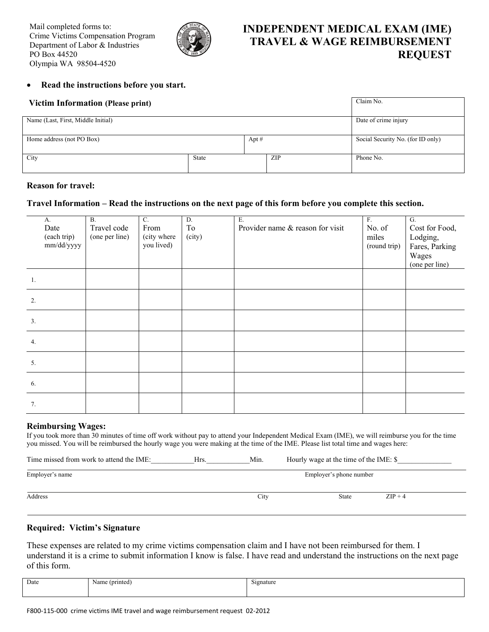

## **INDEPENDENT MEDICAL EXAM (IME) TRAVEL & WAGE REIMBURSEMENT REQUEST**

#### **Read the instructions before you start.**

| <b>Victim Information (Please print)</b> |                      |         |            | Claim No.                         |  |
|------------------------------------------|----------------------|---------|------------|-----------------------------------|--|
| Name (Last, First, Middle Initial)       | Date of crime injury |         |            |                                   |  |
| Home address (not PO Box)                |                      | Apt $#$ |            | Social Security No. (for ID only) |  |
| City                                     | <b>State</b>         |         | <b>ZIP</b> | Phone No.                         |  |

#### **Reason for travel:**

#### **Travel Information – Read the instructions on the next page of this form before you complete this section.**

| A.<br>Date<br>(each trip)<br>mm/dd/yyyy | $\overline{B}$ .<br>Travel code<br>(one per line) | $\overline{C}$ .<br>From<br>(city where<br>you lived) | D.<br>To<br>(city) | E.<br>Provider name & reason for visit | F.<br>No. of<br>miles<br>(round trip) | $\overline{G}$ .<br>Cost for Food,<br>Lodging,<br>Fares, Parking<br>Wages<br>(one per line) |
|-----------------------------------------|---------------------------------------------------|-------------------------------------------------------|--------------------|----------------------------------------|---------------------------------------|---------------------------------------------------------------------------------------------|
| 1.                                      |                                                   |                                                       |                    |                                        |                                       |                                                                                             |
| 2.                                      |                                                   |                                                       |                    |                                        |                                       |                                                                                             |
| 3.                                      |                                                   |                                                       |                    |                                        |                                       |                                                                                             |
| 4.                                      |                                                   |                                                       |                    |                                        |                                       |                                                                                             |
| 5.                                      |                                                   |                                                       |                    |                                        |                                       |                                                                                             |
| 6.                                      |                                                   |                                                       |                    |                                        |                                       |                                                                                             |
| 7.                                      |                                                   |                                                       |                    |                                        |                                       |                                                                                             |

#### **Reimbursing Wages:**

l

If you took more than 30 minutes of time off work without pay to attend your Independent Medical Exam (IME), we will reimburse you for the time you missed. You will be reimbursed the hourly wage you were making at the time of the IME. Please list total time and wages here:

| Time missed from work to attend the IME: | Hrs. | Min. | Hourly wage at the time of the IME: \$ |           |
|------------------------------------------|------|------|----------------------------------------|-----------|
| Employer's name                          |      |      | Employer's phone number                |           |
| Address                                  |      | City | State                                  | $ZIP + 4$ |

#### **Required: Victim's Signature**

These expenses are related to my crime victims compensation claim and I have not been reimbursed for them. I understand it is a crime to submit information I know is false. I have read and understand the instructions on the next page of this form.

| Date | (printed)<br>Name | signature<br>. |
|------|-------------------|----------------|
|      |                   |                |
|      |                   |                |